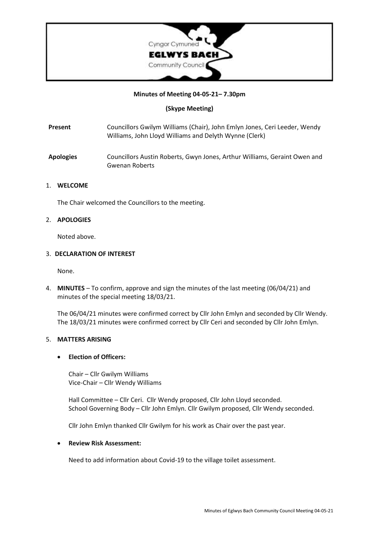

## **Minutes of Meeting 04-05-21– 7.30pm**

**(Skype Meeting)**

- **Present** Councillors Gwilym Williams (Chair), John Emlyn Jones, Ceri Leeder, Wendy Williams, John Lloyd Williams and Delyth Wynne (Clerk)
- **Apologies** Councillors Austin Roberts, Gwyn Jones, Arthur Williams, Geraint Owen and Gwenan Roberts

### 1. **WELCOME**

The Chair welcomed the Councillors to the meeting.

## 2. **APOLOGIES**

Noted above.

### 3. **DECLARATION OF INTEREST**

None.

4. **MINUTES** – To confirm, approve and sign the minutes of the last meeting (06/04/21) and minutes of the special meeting 18/03/21.

The 06/04/21 minutes were confirmed correct by Cllr John Emlyn and seconded by Cllr Wendy. The 18/03/21 minutes were confirmed correct by Cllr Ceri and seconded by Cllr John Emlyn.

## 5. **MATTERS ARISING**

#### • **Election of Officers:**

Chair – Cllr Gwilym Williams Vice-Chair – Cllr Wendy Williams

Hall Committee – Cllr Ceri. Cllr Wendy proposed, Cllr John Lloyd seconded. School Governing Body – Cllr John Emlyn. Cllr Gwilym proposed, Cllr Wendy seconded.

Cllr John Emlyn thanked Cllr Gwilym for his work as Chair over the past year.

### • **Review Risk Assessment:**

Need to add information about Covid-19 to the village toilet assessment.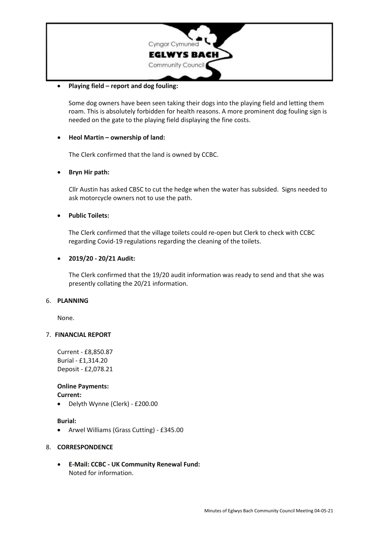

## • **Playing field – report and dog fouling:**

Some dog owners have been seen taking their dogs into the playing field and letting them roam. This is absolutely forbidden for health reasons. A more prominent dog fouling sign is needed on the gate to the playing field displaying the fine costs.

## • **Heol Martin – ownership of land:**

The Clerk confirmed that the land is owned by CCBC.

## • **Bryn Hir path:**

Cllr Austin has asked CBSC to cut the hedge when the water has subsided. Signs needed to ask motorcycle owners not to use the path.

### • **Public Toilets:**

The Clerk confirmed that the village toilets could re-open but Clerk to check with CCBC regarding Covid-19 regulations regarding the cleaning of the toilets.

### • **2019/20 - 20/21 Audit:**

The Clerk confirmed that the 19/20 audit information was ready to send and that she was presently collating the 20/21 information.

#### 6. **PLANNING**

None.

#### 7. **FINANCIAL REPORT**

Current - £8,850.87 Burial - £1,314.20 Deposit - £2,078.21

## **Online Payments:**

**Current:**

• Delyth Wynne (Clerk) - £200.00

#### **Burial:**

• Arwel Williams (Grass Cutting) - £345.00

#### 8. **CORRESPONDENCE**

• **E-Mail: CCBC - UK Community Renewal Fund:** Noted for information.